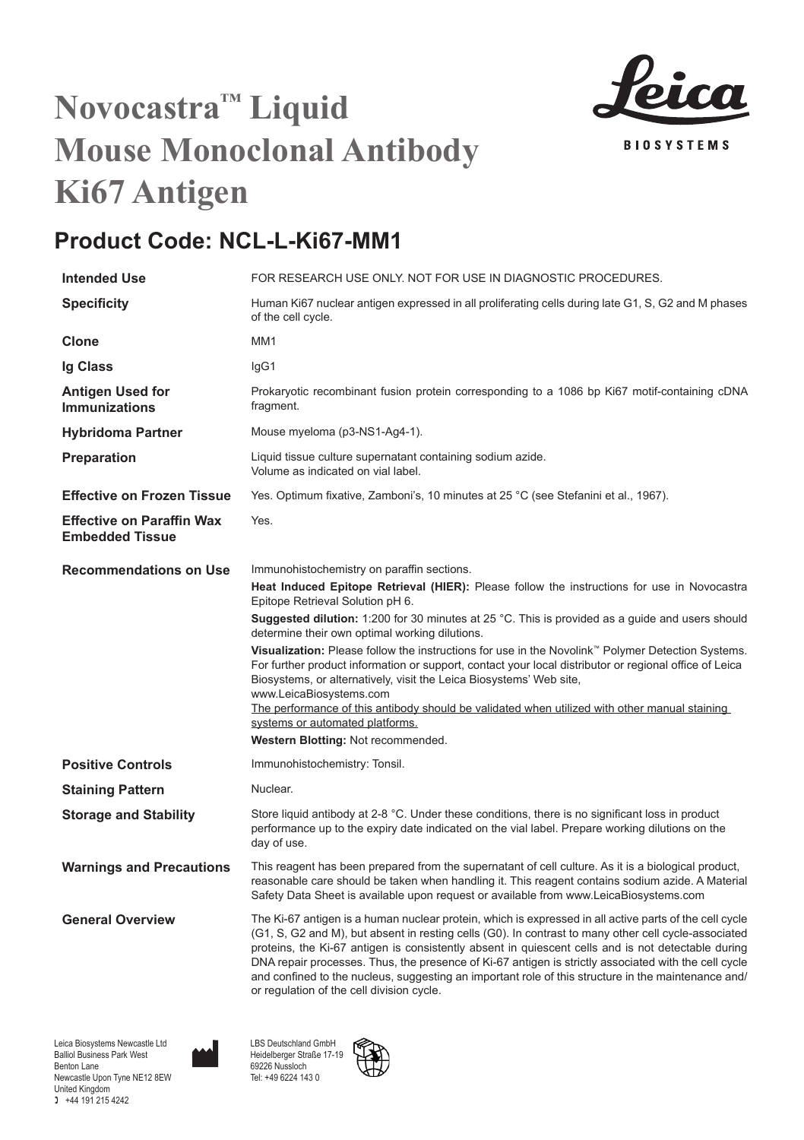

## **Novocastra™ Liquid Mouse Monoclonal Antibody Ki67 Antigen**

## **Product Code: NCL-L-Ki67-MM1**

| <b>Intended Use</b>                                        | FOR RESEARCH USE ONLY. NOT FOR USE IN DIAGNOSTIC PROCEDURES.                                                                                                                                                                                                                                                                                                                                                                                                                                                                                                                     |
|------------------------------------------------------------|----------------------------------------------------------------------------------------------------------------------------------------------------------------------------------------------------------------------------------------------------------------------------------------------------------------------------------------------------------------------------------------------------------------------------------------------------------------------------------------------------------------------------------------------------------------------------------|
| <b>Specificity</b>                                         | Human Ki67 nuclear antigen expressed in all proliferating cells during late G1, S, G2 and M phases<br>of the cell cycle.                                                                                                                                                                                                                                                                                                                                                                                                                                                         |
| Clone                                                      | MM <sub>1</sub>                                                                                                                                                                                                                                                                                                                                                                                                                                                                                                                                                                  |
| Ig Class                                                   | IgG1                                                                                                                                                                                                                                                                                                                                                                                                                                                                                                                                                                             |
| Antigen Used for<br><b>Immunizations</b>                   | Prokaryotic recombinant fusion protein corresponding to a 1086 bp Ki67 motif-containing cDNA<br>fragment.                                                                                                                                                                                                                                                                                                                                                                                                                                                                        |
| <b>Hybridoma Partner</b>                                   | Mouse myeloma (p3-NS1-Ag4-1).                                                                                                                                                                                                                                                                                                                                                                                                                                                                                                                                                    |
| Preparation                                                | Liquid tissue culture supernatant containing sodium azide.<br>Volume as indicated on vial label.                                                                                                                                                                                                                                                                                                                                                                                                                                                                                 |
| <b>Effective on Frozen Tissue</b>                          | Yes. Optimum fixative, Zamboni's, 10 minutes at 25 °C (see Stefanini et al., 1967).                                                                                                                                                                                                                                                                                                                                                                                                                                                                                              |
| <b>Effective on Paraffin Wax</b><br><b>Embedded Tissue</b> | Yes.                                                                                                                                                                                                                                                                                                                                                                                                                                                                                                                                                                             |
| <b>Recommendations on Use</b>                              | Immunohistochemistry on paraffin sections.                                                                                                                                                                                                                                                                                                                                                                                                                                                                                                                                       |
|                                                            | Heat Induced Epitope Retrieval (HIER): Please follow the instructions for use in Novocastra<br>Epitope Retrieval Solution pH 6.                                                                                                                                                                                                                                                                                                                                                                                                                                                  |
|                                                            | Suggested dilution: 1:200 for 30 minutes at 25 °C. This is provided as a guide and users should<br>determine their own optimal working dilutions.                                                                                                                                                                                                                                                                                                                                                                                                                                |
|                                                            | Visualization: Please follow the instructions for use in the Novolink™ Polymer Detection Systems.<br>For further product information or support, contact your local distributor or regional office of Leica<br>Biosystems, or alternatively, visit the Leica Biosystems' Web site,<br>www.LeicaBiosystems.com                                                                                                                                                                                                                                                                    |
|                                                            | The performance of this antibody should be validated when utilized with other manual staining<br>systems or automated platforms.                                                                                                                                                                                                                                                                                                                                                                                                                                                 |
|                                                            | Western Blotting: Not recommended.                                                                                                                                                                                                                                                                                                                                                                                                                                                                                                                                               |
| <b>Positive Controls</b>                                   | Immunohistochemistry: Tonsil.                                                                                                                                                                                                                                                                                                                                                                                                                                                                                                                                                    |
| <b>Staining Pattern</b>                                    | Nuclear.                                                                                                                                                                                                                                                                                                                                                                                                                                                                                                                                                                         |
| <b>Storage and Stability</b>                               | Store liquid antibody at 2-8 °C. Under these conditions, there is no significant loss in product<br>performance up to the expiry date indicated on the vial label. Prepare working dilutions on the<br>day of use.                                                                                                                                                                                                                                                                                                                                                               |
| <b>Warnings and Precautions</b>                            | This reagent has been prepared from the supernatant of cell culture. As it is a biological product,<br>reasonable care should be taken when handling it. This reagent contains sodium azide. A Material<br>Safety Data Sheet is available upon request or available from www.LeicaBiosystems.com                                                                                                                                                                                                                                                                                 |
| <b>General Overview</b>                                    | The Ki-67 antigen is a human nuclear protein, which is expressed in all active parts of the cell cycle<br>(G1, S, G2 and M), but absent in resting cells (G0). In contrast to many other cell cycle-associated<br>proteins, the Ki-67 antigen is consistently absent in quiescent cells and is not detectable during<br>DNA repair processes. Thus, the presence of Ki-67 antigen is strictly associated with the cell cycle<br>and confined to the nucleus, suggesting an important role of this structure in the maintenance and/<br>or regulation of the cell division cycle. |